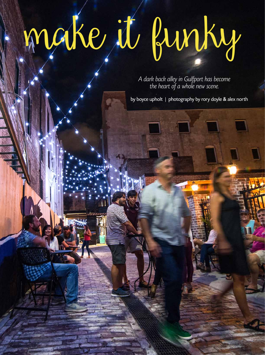## make it funky

A dark back alley in Gulfport has become the heart of a whole new scene.

by boyce upholt | photography by rory doyle & alex north

NOVEMBER 1989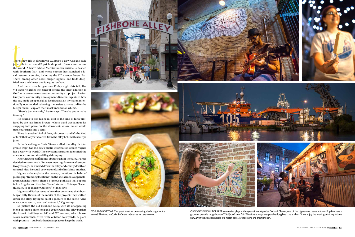There's n<br>jazz club<br>the work<br>with Sou There's new life in downtown Gulfport: a New Orleans-style jazz club. An artisanal Popsicle shop, with flavors from across the world. A bistro whose Mediterranean cuisine is dashed with Southern flair—and whose success has launched a local restaurant empire, including the 27<sup>th</sup> Avenue Burger Bar. There, among other novel burger-toppers, one finds deepfried mac and cheese and foie gras torchon.

And there, over burgers one Friday night this fall, David Parker clarifies the concept behind the latest addition to Gulfport's downtown scene: a community art project. Parker, Gulfport's community development director, explained how the city made an open call to local artists, an invitation intentionally open-ended, allowing the artists to—not unlike the burger menu—explore their most uncommon whims.

"There's just one rule," Parker says. "They've got to make it funky."

He begins to bob his head, as if to the kind of funk proffered by the late James Brown—whose band was famous for snapping into place on the downbeat, whose music would turn your stride into a strut.

There is another kind of funk, of course—and it's the kind of funk that for years wafted from the alley behind this burger joint.

Parker's colleague Chris Vignes called the alley "a total grease trap." (As the city's public information officer, Vignes has a way with words.) The city administration identified the alley as a common site of illegal dumping.

After hearing complaints about trash in the alley, Parker decided to take a walk. Between meetings late one afternoon two years ago, he ducked down the alley and emerged with an unusual idea: he could convert one kind of funk into another.

Vignes, as he explains the concept, mentions his habit of pulling up "trending locations" on the social media app Instagram when he travels. There's a famous pink wall that pops up in Los Angeles and the silver "bean" statue in Chicago. "I want this alley to be that for Gulfport," Vignes says.

Vignes and Parker recount how they convinced their boss, Mayor Billy Hewes, of the merits of the project: they walked down the alley, trying to paint a picture of the scene. "And once you've seen it, you can't not see it," Vignes says.

So picture the old Fishbone Alley, with its unappealing blend of funk: a block long and 20 feet wide, the alley borders the historic buildings on 26<sup>th</sup> and 27<sup>th</sup> avenues, which house seven restaurants, three with outdoor courtyards. A place with promise—but back then just a place to keep the trash.

CLOCKWISE FROM TOP LEFT: A musician plays in the open-air courtyard at Corks & Cleaver, one of the big new successes in town. Pop Brothers, a gourmet popsicle shop, shows off Gulfport's new flair. The city's eponymous port has long been the anchor. Diners enjoy the evening at Murky Waters BBQ. Even the smallest details, like meter boxes, are receiving the artistic touch.











TOP AND BOTTOM: The great weather on opening day brought out a crowd. The food at Corks & Cleavers deserves its rave reviews.